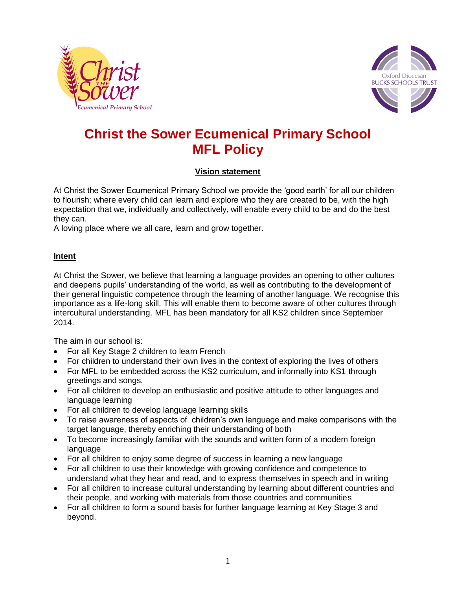



# **Christ the Sower Ecumenical Primary School MFL Policy**

## **Vision statement**

At Christ the Sower Ecumenical Primary School we provide the 'good earth' for all our children to flourish; where every child can learn and explore who they are created to be, with the high expectation that we, individually and collectively, will enable every child to be and do the best they can.

A loving place where we all care, learn and grow together.

#### **Intent**

At Christ the Sower, we believe that learning a language provides an opening to other cultures and deepens pupils' understanding of the world, as well as contributing to the development of their general linguistic competence through the learning of another language. We recognise this importance as a life-long skill. This will enable them to become aware of other cultures through intercultural understanding. MFL has been mandatory for all KS2 children since September 2014.

The aim in our school is:

- For all Key Stage 2 children to learn French
- For children to understand their own lives in the context of exploring the lives of others
- For MFL to be embedded across the KS2 curriculum, and informally into KS1 through greetings and songs.
- For all children to develop an enthusiastic and positive attitude to other languages and language learning
- For all children to develop language learning skills
- To raise awareness of aspects of children's own language and make comparisons with the target language, thereby enriching their understanding of both
- To become increasingly familiar with the sounds and written form of a modern foreign language
- For all children to enjoy some degree of success in learning a new language
- For all children to use their knowledge with growing confidence and competence to understand what they hear and read, and to express themselves in speech and in writing
- For all children to increase cultural understanding by learning about different countries and their people, and working with materials from those countries and communities
- For all children to form a sound basis for further language learning at Key Stage 3 and beyond.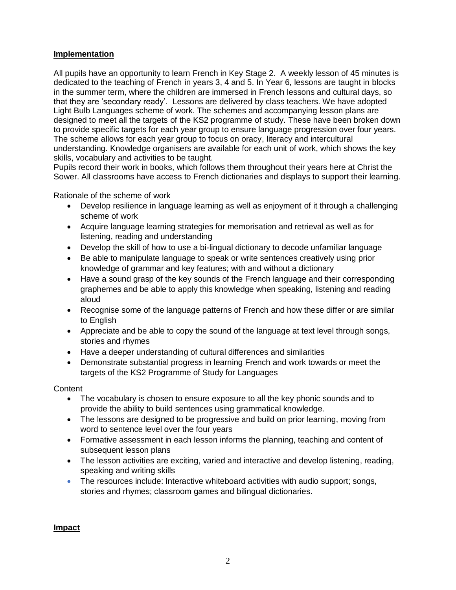#### **Implementation**

All pupils have an opportunity to learn French in Key Stage 2. A weekly lesson of 45 minutes is dedicated to the teaching of French in years 3, 4 and 5. In Year 6, lessons are taught in blocks in the summer term, where the children are immersed in French lessons and cultural days, so that they are 'secondary ready'. Lessons are delivered by class teachers. We have adopted Light Bulb Languages scheme of work. The schemes and accompanying lesson plans are designed to meet all the targets of the KS2 programme of study. These have been broken down to provide specific targets for each year group to ensure language progression over four years. The scheme allows for each year group to focus on oracy, literacy and intercultural understanding. Knowledge organisers are available for each unit of work, which shows the key skills, vocabulary and activities to be taught.

Pupils record their work in books, which follows them throughout their years here at Christ the Sower. All classrooms have access to French dictionaries and displays to support their learning.

Rationale of the scheme of work

- Develop resilience in language learning as well as enjoyment of it through a challenging scheme of work
- Acquire language learning strategies for memorisation and retrieval as well as for listening, reading and understanding
- Develop the skill of how to use a bi-lingual dictionary to decode unfamiliar language
- Be able to manipulate language to speak or write sentences creatively using prior knowledge of grammar and key features; with and without a dictionary
- Have a sound grasp of the key sounds of the French language and their corresponding graphemes and be able to apply this knowledge when speaking, listening and reading aloud
- Recognise some of the language patterns of French and how these differ or are similar to English
- Appreciate and be able to copy the sound of the language at text level through songs, stories and rhymes
- Have a deeper understanding of cultural differences and similarities
- Demonstrate substantial progress in learning French and work towards or meet the targets of the KS2 Programme of Study for Languages

**Content** 

- The vocabulary is chosen to ensure exposure to all the key phonic sounds and to provide the ability to build sentences using grammatical knowledge.
- The lessons are designed to be progressive and build on prior learning, moving from word to sentence level over the four years
- Formative assessment in each lesson informs the planning, teaching and content of subsequent lesson plans
- The lesson activities are exciting, varied and interactive and develop listening, reading, speaking and writing skills
- The resources include: Interactive whiteboard activities with audio support; songs, stories and rhymes; classroom games and bilingual dictionaries.

#### **Impact**